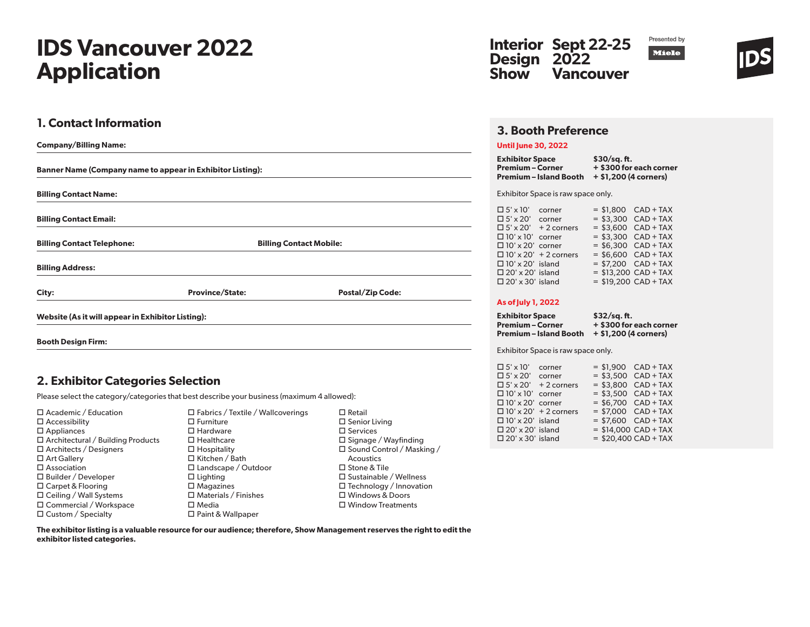# **IDS Vancouver 2022 Application**

## **1. Contact Information**

| <b>Company/Billing Name:</b>                                      |                                |                         |  |  |  |
|-------------------------------------------------------------------|--------------------------------|-------------------------|--|--|--|
| <b>Banner Name (Company name to appear in Exhibitor Listing):</b> |                                |                         |  |  |  |
| <b>Billing Contact Name:</b>                                      |                                |                         |  |  |  |
| <b>Billing Contact Email:</b>                                     |                                |                         |  |  |  |
| <b>Billing Contact Telephone:</b>                                 | <b>Billing Contact Mobile:</b> |                         |  |  |  |
| <b>Billing Address:</b>                                           |                                |                         |  |  |  |
| City:                                                             | <b>Province/State:</b>         | <b>Postal/Zip Code:</b> |  |  |  |
| Website (As it will appear in Exhibitor Listing):                 |                                |                         |  |  |  |
| <b>Booth Design Firm:</b>                                         |                                |                         |  |  |  |

### **2. Exhibitor Categories Selection**

Please select the category/categories that best describe your business (maximum 4 allowed):

| $\Box$ Academic / Education              |
|------------------------------------------|
| $\square$ Accessibility                  |
| $\square$ Appliances                     |
| $\Box$ Architectural / Building Products |
| $\Box$ Architects / Designers            |
| $\Box$ Art Gallery                       |
| $\square$ Association                    |
| $\Box$ Builder / Developer               |
| $\Box$ Carpet & Flooring                 |
| $\Box$ Ceiling / Wall Systems            |
| □ Commercial / Workspace                 |
| $\Box$ Custom / Specialty                |

 Fabrics / Textile / Wallcoverings  $\square$  Furniture □ Hardware □ Healthcare  $\Box$  Hospitality  $\Box$  Kitchen / Bath Landscape / Outdoor  $\square$  Lighting  $\square$  Magazines  $\square$  Materials / Finishes  $\square$  Media □ Paint & Wallpaper

 $\Box$  Retail  $\square$  Senior Living  $\square$  Services  $\square$  Signage / Wayfinding □ Sound Control / Masking / Acoustics □ Stone & Tile □ Sustainable / Wellness  $\Box$  Technology / Innovation Windows & Doors Window Treatments





### **3. Booth Preference**

### **Until June 30, 2022**

**Exhibitor Space \$30/sq. ft. Premium – Corner + \$300 for each corner Premium – Island Booth + \$1,200 (4 corners)**

#### Exhibitor Space is raw space only.

| $\Box$ 5' x 10'         | corner                       |  | $= $1,800$ CAD + TAX   |
|-------------------------|------------------------------|--|------------------------|
| $\Box$ 5' x 20'         | corner                       |  | $= $3.300$ CAD + TAX   |
| $\Box$ 5' x 20'         | $+2$ corners                 |  | $= $3,600$ CAD + TAX   |
| $\Box$ 10' x 10'        | corner                       |  | $= $3,300$ CAD + TAX   |
| $\Box$ 10' x 20' corner |                              |  | $=$ \$6,300 CAD + TAX  |
|                         | $\Box$ 10' x 20' + 2 corners |  | $=$ \$6,600 CAD + TAX  |
| $\Box$ 10' x 20' island |                              |  | $= $7,200$ CAD + TAX   |
| $\Box$ 20' x 20' island |                              |  | $= $13.200$ CAD + TAX  |
| $\Box$ 20' x 30' island |                              |  | $=$ \$19,200 CAD + TAX |

### **As of July 1, 2022**

| <b>Exhibitor Space</b> | $$32/sq.$ ft.           |
|------------------------|-------------------------|
| Premium – Corner       | + \$300 for each corner |
| Premium – Island Booth | + \$1,200 (4 corners)   |

Exhibitor Space is raw space only.

| $\Box$ 5' x 10'         | corner                       | $= $1,900$ CAD + TAX  |  |  |
|-------------------------|------------------------------|-----------------------|--|--|
| $\Box$ 5' x 20'         | corner                       | $= $3.500$ CAD + TAX  |  |  |
|                         | $\Box$ 5' x 20' + 2 corners  | $=$ \$3,800 CAD + TAX |  |  |
| $\Box$ 10' x 10' corner |                              | $= $3,500$ CAD + TAX  |  |  |
| $\Box$ 10' x 20' corner |                              | $= $6.700$ CAD + TAX  |  |  |
|                         | $\Box$ 10' x 20' + 2 corners | $= $7.000$ CAD + TAX  |  |  |
| $\Box$ 10' x 20' island |                              | $= $7,600$ CAD + TAX  |  |  |
| $\Box$ 20' x 20' island |                              | $= $14.000$ CAD + TAX |  |  |
| $\Box$ 20' x 30' island |                              | $= $20,400$ CAD + TAX |  |  |

**The exhibitor listing is a valuable resource for our audience; therefore, Show Management reserves the right to edit the exhibitor listed categories.**